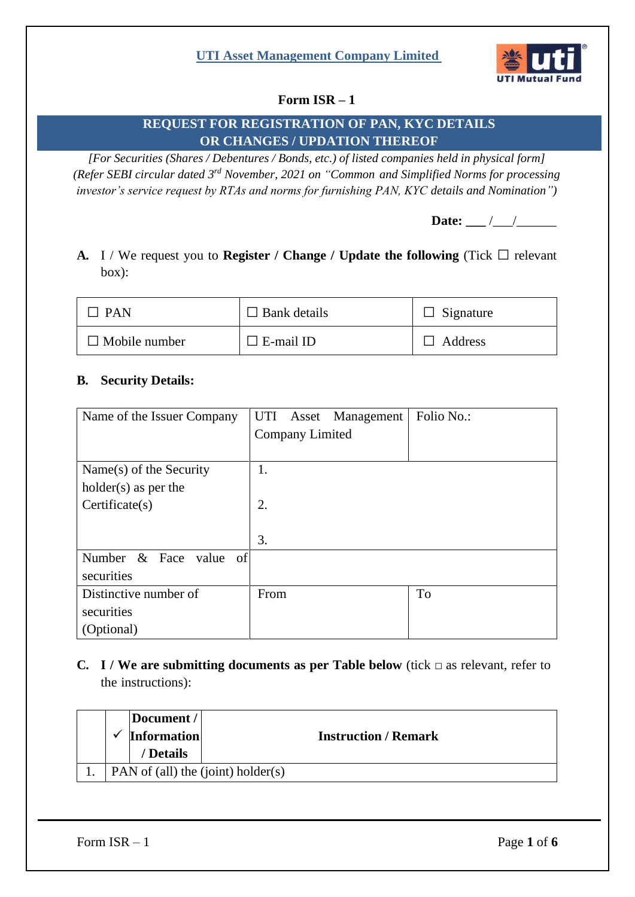

# **Form ISR – 1**

# **REQUEST FOR REGISTRATION OF PAN, KYC DETAILS OR CHANGES / UPDATION THEREOF**

*[For Securities (Shares / Debentures / Bonds, etc.) of listed companies held in physical form] (Refer SEBI circular dated 3 rd November, 2021 on "Common and Simplified Norms for processing investor's service request by RTAs and norms for furnishing PAN, KYC details and Nomination")*

Date: \_\_\_ /\_\_\_/\_\_\_\_\_\_

**A.** I / We request you to **Register / Change / Update the following** (Tick  $\Box$  relevant box):

| <b>PAN</b>           | $\Box$ Bank details | $\Box$ Signature |
|----------------------|---------------------|------------------|
| $\Box$ Mobile number | $\Box$ E-mail ID    | $\Box$ Address   |

### **B. Security Details:**

| Name of the Issuer Company | UTI  |                        | Asset Management | Folio No.: |
|----------------------------|------|------------------------|------------------|------------|
|                            |      | <b>Company Limited</b> |                  |            |
|                            |      |                        |                  |            |
| Name(s) of the Security    | 1.   |                        |                  |            |
| $holder(s)$ as per the     |      |                        |                  |            |
| Certifice(s)               | 2.   |                        |                  |            |
|                            |      |                        |                  |            |
|                            | 3.   |                        |                  |            |
| & Face value of<br>Number  |      |                        |                  |            |
| securities                 |      |                        |                  |            |
| Distinctive number of      | From |                        |                  | To         |
| securities                 |      |                        |                  |            |
| (Optional)                 |      |                        |                  |            |

**C. I** / **We** are submitting documents as per Table below (tick  $\Box$  as relevant, refer to the instructions):

|  | Document /<br><b>Information</b><br>/ Details |                                    | <b>Instruction / Remark</b> |  |
|--|-----------------------------------------------|------------------------------------|-----------------------------|--|
|  |                                               | PAN of (all) the (joint) holder(s) |                             |  |

Form  $ISR - 1$  Page  $1 \text{ of } 6$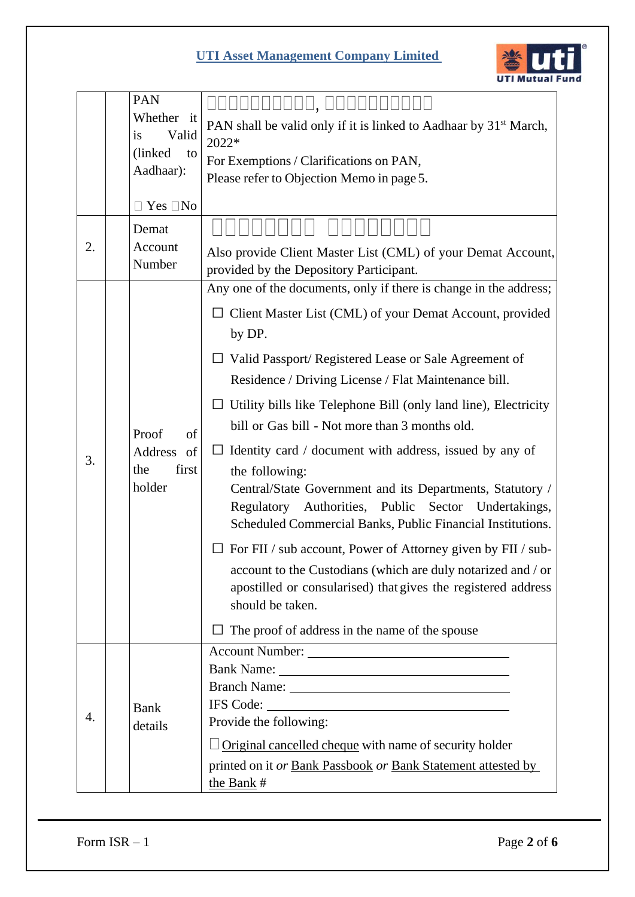

|    | PAN                       | UUUUUO, OOOOOOO                                                                   |
|----|---------------------------|-----------------------------------------------------------------------------------|
|    | Whether it<br>is<br>Valid | PAN shall be valid only if it is linked to Aadhaar by 31 <sup>st</sup> March,     |
|    | (linked)<br>to            | 2022*                                                                             |
|    | Aadhaar):                 | For Exemptions / Clarifications on PAN,                                           |
|    |                           | Please refer to Objection Memo in page 5.                                         |
|    | Yes $\square$ No          |                                                                                   |
|    | Demat                     |                                                                                   |
| 2. | Account<br>Number         | Also provide Client Master List (CML) of your Demat Account,                      |
|    |                           | provided by the Depository Participant.                                           |
|    |                           | Any one of the documents, only if there is change in the address;                 |
|    |                           | Client Master List (CML) of your Demat Account, provided                          |
|    |                           | by DP.                                                                            |
|    |                           | $\Box$ Valid Passport/ Registered Lease or Sale Agreement of                      |
|    |                           | Residence / Driving License / Flat Maintenance bill.                              |
|    |                           | Utility bills like Telephone Bill (only land line), Electricity                   |
|    | Proof<br>of               | bill or Gas bill - Not more than 3 months old.                                    |
|    | Address of                | Identity card / document with address, issued by any of<br>$\Box$                 |
| 3. | first<br>the              | the following:                                                                    |
|    | holder                    | Central/State Government and its Departments, Statutory /                         |
|    |                           | Regulatory Authorities, Public Sector Undertakings,                               |
|    |                           | Scheduled Commercial Banks, Public Financial Institutions.                        |
|    |                           | For FII / sub account, Power of Attorney given by FII / sub-                      |
|    |                           | account to the Custodians (which are duly notarized and / or                      |
|    |                           | apostilled or consularised) that gives the registered address<br>should be taken. |
|    |                           |                                                                                   |
|    |                           | The proof of address in the name of the spouse                                    |
|    |                           |                                                                                   |
|    |                           |                                                                                   |
|    | <b>Bank</b>               | IFS Code:                                                                         |
| 4. | details                   | Provide the following:                                                            |
|    |                           | Original cancelled cheque with name of security holder                            |
|    |                           | printed on it or Bank Passbook or Bank Statement attested by                      |
|    |                           | the Bank #                                                                        |

Form  $ISR - 1$  Page  $2$  of  $6$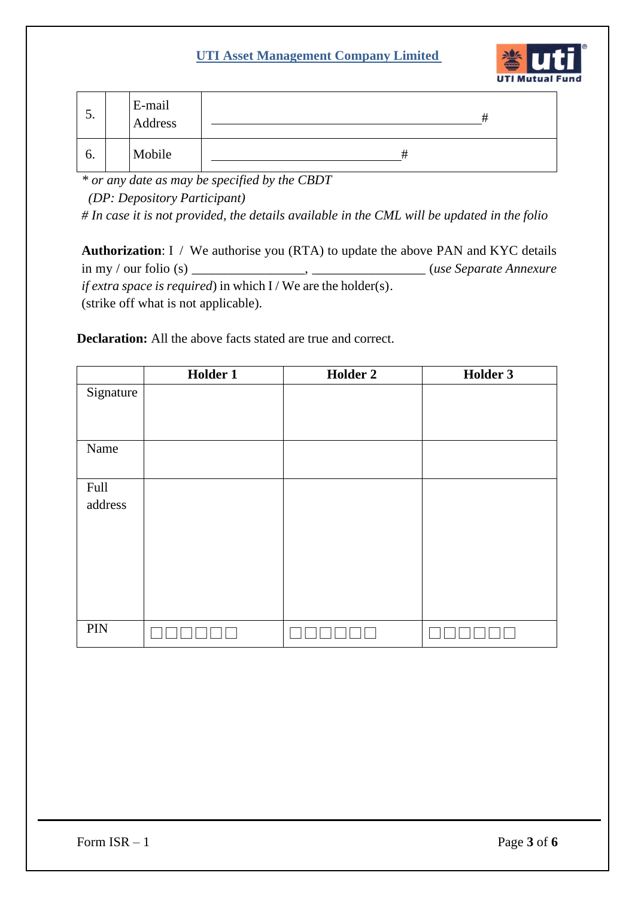

| $\mathcal{L}$ . | E-mail<br>Address |  |
|-----------------|-------------------|--|
| b.              | Mobile            |  |

*\* or any date as may be specified by the CBDT* 

 *(DP: Depository Participant)*

*# In case it is not provided, the details available in the CML will be updated in the folio*

**Authorization**: I / We authorise you (RTA) to update the above PAN and KYC details in my / our folio (s) \_\_\_\_\_\_\_\_\_\_\_\_\_\_\_\_\_, \_\_\_\_\_\_\_\_\_\_\_\_\_\_\_\_\_ (*use Separate Annexure if extra space is required*) in which I / We are the holder(s). (strike off what is not applicable).

**Declaration:** All the above facts stated are true and correct.

|           | Holder 1 | <b>Holder 2</b> | Holder 3 |
|-----------|----------|-----------------|----------|
| Signature |          |                 |          |
|           |          |                 |          |
|           |          |                 |          |
| Name      |          |                 |          |
|           |          |                 |          |
| Full      |          |                 |          |
| address   |          |                 |          |
|           |          |                 |          |
|           |          |                 |          |
|           |          |                 |          |
|           |          |                 |          |
|           |          |                 |          |
|           |          |                 |          |
| PIN       |          |                 |          |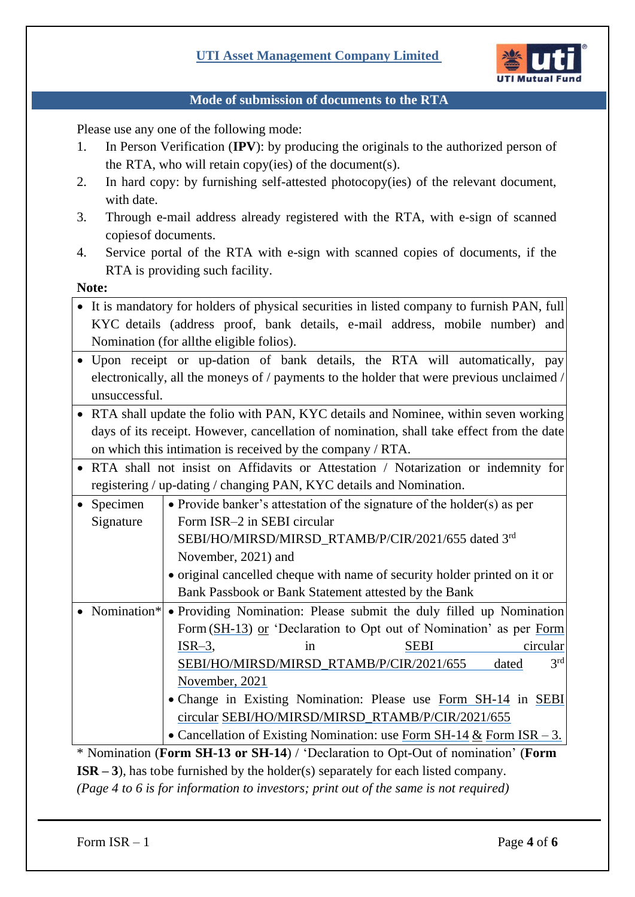

#### **Mode of submission of documents to the RTA**

Please use any one of the following mode:

- 1. In Person Verification (**IPV**): by producing the originals to the authorized person of the RTA, who will retain copy(ies) of the document(s).
- 2. In hard copy: by furnishing self-attested photocopy(ies) of the relevant document, with date.
- 3. Through e-mail address already registered with the RTA, with e-sign of scanned copiesof documents.
- 4. Service portal of the RTA with e-sign with scanned copies of documents, if the RTA is providing such facility.

**Note:**

- It is mandatory for holders of physical securities in listed company to furnish PAN, full KYC details (address proof, bank details, e-mail address, mobile number) and Nomination (for allthe eligible folios).
- Upon receipt or up-dation of bank details, the RTA will automatically, pay electronically, all the moneys of / payments to the holder that were previous unclaimed / unsuccessful.
- RTA shall update the folio with PAN, KYC details and Nominee, within seven working days of its receipt. However, cancellation of nomination, shall take effect from the date on which this intimation is received by the company / RTA.
- RTA shall not insist on Affidavits or Attestation / Notarization or indemnity for registering / up-dating / changing PAN, KYC details and Nomination.

| Specimen  | • Provide banker's attestation of the signature of the holder(s) as per           |             |                          |
|-----------|-----------------------------------------------------------------------------------|-------------|--------------------------|
| Signature | Form ISR-2 in SEBI circular                                                       |             |                          |
|           | SEBI/HO/MIRSD/MIRSD_RTAMB/P/CIR/2021/655 dated 3rd                                |             |                          |
|           | November, 2021) and                                                               |             |                          |
|           | • original cancelled cheque with name of security holder printed on it or         |             |                          |
|           | Bank Passbook or Bank Statement attested by the Bank                              |             |                          |
|           | • Nomination* • Providing Nomination: Please submit the duly filled up Nomination |             |                          |
|           | Form (SH-13) or 'Declaration to Opt out of Nomination' as per Form                |             |                          |
|           | $ISR-3,$<br>1n                                                                    | <b>SEBI</b> | circular                 |
|           | SEBI/HO/MIRSD/MIRSD RTAMB/P/CIR/2021/655                                          |             | 3 <sup>rd</sup><br>dated |

[November,](https://www.sebi.gov.in/legal/circulars/nov-2021/common-and-simplified-norms-for-processing-investor-s-service-request-by-rtas-and-norms-for-furnishing-pan-kyc-details-and-nomination_53787.html) 2021 • Change in Existing Nomination: Please use [Form SH-14](https://www.sebi.gov.in/sebi_data/commondocs/nov-2021/Form%20No.%20SH-14_p.pdf) in [SEBI](https://www.sebi.gov.in/legal/circulars/nov-2021/common-and-simplified-norms-for-processing-investor-s-service-request-by-rtas-and-norms-for-furnishing-pan-kyc-details-and-nomination_53787.html)  [circular](https://www.sebi.gov.in/legal/circulars/nov-2021/common-and-simplified-norms-for-processing-investor-s-service-request-by-rtas-and-norms-for-furnishing-pan-kyc-details-and-nomination_53787.html) [SEBI/HO/MIRSD/MIRSD\\_RTAMB/P/CIR/2021/655](https://www.sebi.gov.in/legal/circulars/nov-2021/common-and-simplified-norms-for-processing-investor-s-service-request-by-rtas-and-norms-for-furnishing-pan-kyc-details-and-nomination_53787.html)

[SEBI/HO/MIRSD/MIRSD\\_RTAMB/P/CIR/2021/655](https://www.sebi.gov.in/legal/circulars/nov-2021/common-and-simplified-norms-for-processing-investor-s-service-request-by-rtas-and-norms-for-furnishing-pan-kyc-details-and-nomination_53787.html) dated

• Cancellation of Existing Nomination: use Form [SH-14](https://www.sebi.gov.in/sebi_data/commondocs/nov-2021/Form%20No.%20SH-14_p.pdf)  $&$  [Form](https://www.sebi.gov.in/sebi_data/commondocs/nov-2021/Form%20ISR-3_p.pdf) ISR – 3.

\* Nomination (**Form SH-13 or SH-14**) / 'Declaration to Opt-Out of nomination' (**Form ISR – 3**), has tobe furnished by the holder(s) separately for each listed company. *(Page 4 to 6 is for information to investors; print out of the same is not required)*

Form  $ISR - 1$  Page 4 of 6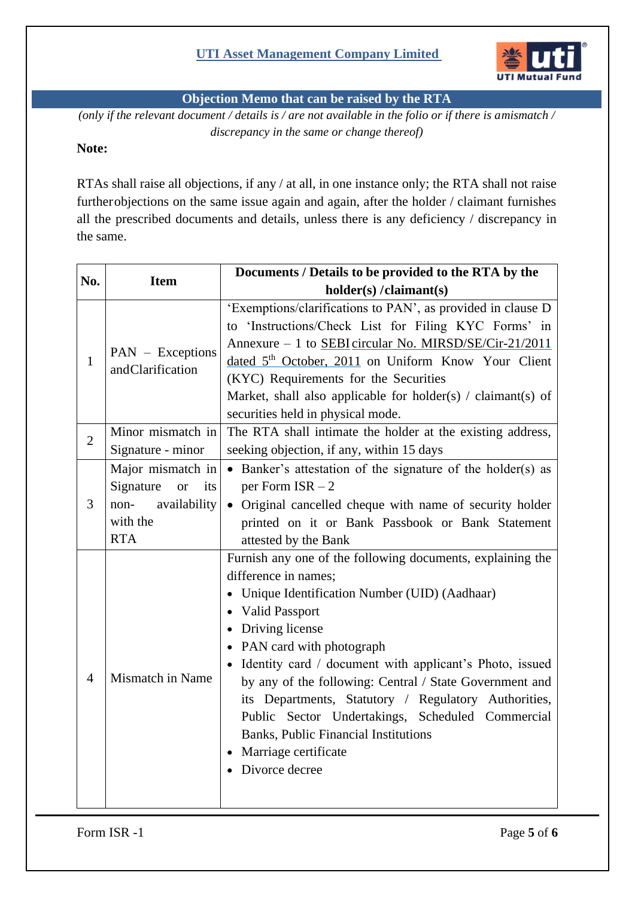

**Objection Memo that can be raised by the RTA**

*(only if the relevant document / details is / are not available in the folio or if there is amismatch / discrepancy in the same or change thereof)*

### **Note:**

RTAs shall raise all objections, if any / at all, in one instance only; the RTA shall not raise furtherobjections on the same issue again and again, after the holder / claimant furnishes all the prescribed documents and details, unless there is any deficiency / discrepancy in the same.

| No.                                                  | <b>Item</b>                                                                                              | Documents / Details to be provided to the RTA by the                                                                                                                                                                                                                                                                                                                                                                                                                                                                                         |  |  |
|------------------------------------------------------|----------------------------------------------------------------------------------------------------------|----------------------------------------------------------------------------------------------------------------------------------------------------------------------------------------------------------------------------------------------------------------------------------------------------------------------------------------------------------------------------------------------------------------------------------------------------------------------------------------------------------------------------------------------|--|--|
|                                                      |                                                                                                          | holder(s)/claimant(s)                                                                                                                                                                                                                                                                                                                                                                                                                                                                                                                        |  |  |
| PAN - Exceptions<br>$\mathbf{1}$<br>andClarification |                                                                                                          | 'Exemptions/clarifications to PAN', as provided in clause D<br>to 'Instructions/Check List for Filing KYC Forms' in<br>Annexure - 1 to SEBI circular No. MIRSD/SE/Cir-21/2011<br>dated 5 <sup>th</sup> October, 2011 on Uniform Know Your Client<br>(KYC) Requirements for the Securities<br>Market, shall also applicable for holder(s) / claimant(s) of                                                                                                                                                                                    |  |  |
|                                                      | Minor mismatch in                                                                                        | securities held in physical mode.<br>The RTA shall intimate the holder at the existing address,                                                                                                                                                                                                                                                                                                                                                                                                                                              |  |  |
| $\overline{2}$                                       | Signature - minor                                                                                        | seeking objection, if any, within 15 days                                                                                                                                                                                                                                                                                                                                                                                                                                                                                                    |  |  |
| 3                                                    | Major mismatch in<br>Signature<br>its<br><sub>or</sub><br>availability<br>non-<br>with the<br><b>RTA</b> | • Banker's attestation of the signature of the holder(s) as<br>per Form $ISR - 2$<br>• Original cancelled cheque with name of security holder<br>printed on it or Bank Passbook or Bank Statement<br>attested by the Bank                                                                                                                                                                                                                                                                                                                    |  |  |
| $\overline{4}$                                       | Mismatch in Name                                                                                         | Furnish any one of the following documents, explaining the<br>difference in names;<br>• Unique Identification Number (UID) (Aadhaar)<br>• Valid Passport<br>• Driving license<br>• PAN card with photograph<br>• Identity card / document with applicant's Photo, issued<br>by any of the following: Central / State Government and<br>its Departments, Statutory / Regulatory Authorities,<br>Public Sector Undertakings, Scheduled Commercial<br><b>Banks, Public Financial Institutions</b><br>• Marriage certificate<br>• Divorce decree |  |  |